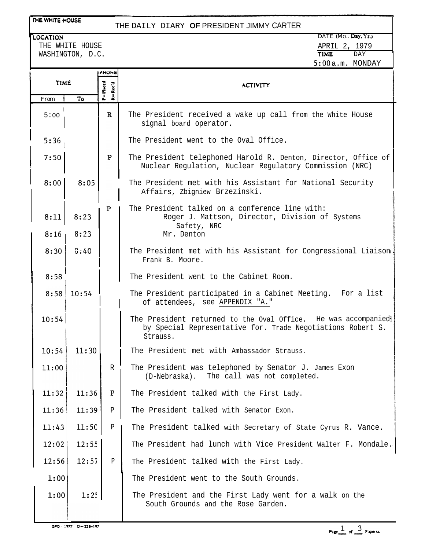### THE WHITE HOUSE

## THE DAILY DIARY **OF** PRESIDENT JIMMY CARTER

**LOCATION** 

THE WHITE HOUSE WASHINGTON, D.C.

|             |       | PHONE                                                                                                      |                                                                                                                                           |  |
|-------------|-------|------------------------------------------------------------------------------------------------------------|-------------------------------------------------------------------------------------------------------------------------------------------|--|
| <b>TIME</b> |       | P=Placed                                                                                                   | <b>ACTIVITY</b>                                                                                                                           |  |
| From        | 70    | $\ddot{\phantom{a}}$                                                                                       |                                                                                                                                           |  |
| 5:00        |       | $\mathbf R$                                                                                                | The President received a wake up call from the White House<br>signal board operator.                                                      |  |
| 5:36        |       |                                                                                                            | The President went to the Oval Office.                                                                                                    |  |
| 7:50        |       | P                                                                                                          | The President telephoned Harold R. Denton, Director, Office of<br>Nuclear Regulation, Nuclear Regulatory Commission (NRC)                 |  |
| 8:00        | 8:05  |                                                                                                            | The President met with his Assistant for National Security<br>Affairs, Zbigniew Brzezinski.                                               |  |
| 8:11        | 8:23  | P                                                                                                          | The President talked on a conference line with:<br>Roger J. Mattson, Director, Division of Systems<br>Safety, NRC                         |  |
| 8:16        | 8:23  |                                                                                                            | Mr. Denton                                                                                                                                |  |
| 8:30        | 0:40  |                                                                                                            | The President met with his Assistant for Congressional Liaison,<br>Frank B. Moore.                                                        |  |
| 8:58        |       |                                                                                                            | The President went to the Cabinet Room.                                                                                                   |  |
| 8:58        | 10:54 | The President participated in a Cabinet Meeting. For a list<br>of attendees, see APPENDIX "A."             |                                                                                                                                           |  |
| 10:54       |       |                                                                                                            | The President returned to the Oval Office. He was accompaniedl<br>by Special Representative for. Trade Negotiations Robert S.<br>Strauss. |  |
| 10:54       | 11:30 | The President met with Ambassador Strauss.                                                                 |                                                                                                                                           |  |
| 11:00       |       | The President was telephoned by Senator J. James Exon<br>R<br>The call was not completed.<br>(D-Nebraska). |                                                                                                                                           |  |
| 11:32       | 11:36 | $\mathbf{P}$                                                                                               | The President talked with the First Lady.                                                                                                 |  |
| 11:36       | 11:39 | $\, {\bf p}$                                                                                               | The President talked with Senator Exon.                                                                                                   |  |
| 11:43       | 11:50 | P                                                                                                          | The President talked with Secretary of State Cyrus R. Vance.                                                                              |  |
| 12:02       | 12:55 |                                                                                                            | The President had lunch with Vice President Walter F. Mondale.                                                                            |  |
| 12:56       | 12:57 | $\mathbf{P}$                                                                                               | The President talked with the First Lady.                                                                                                 |  |
| 1:00        |       |                                                                                                            | The President went to the South Grounds.                                                                                                  |  |
| 1:00        | 1:2!  |                                                                                                            | The President and the First Lady went for a walk on the<br>South Grounds and the Rose Garden.                                             |  |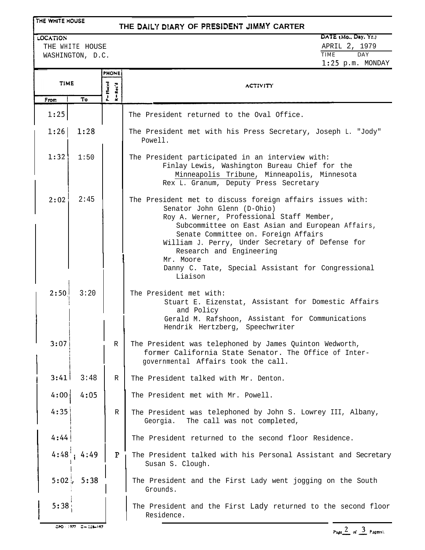#### **THE WHITE HOUSE**

### **THE DALY** DlARY **OF** PRESiDENT JIMMY **CARTER**

WASHINGTON, D.C.

# LOCATION DATE (Mo., Day, Yr.) THE WHITE HOUSE THE WHITE HOUSE APRIL 2, 1979<br>
WASHINGTON, D.C. 1:25 p.m. MONDAY

|             |      | <b>PHONE</b>            |                                                                                                                                                                                                                                                                                                                                                                                                 |  |
|-------------|------|-------------------------|-------------------------------------------------------------------------------------------------------------------------------------------------------------------------------------------------------------------------------------------------------------------------------------------------------------------------------------------------------------------------------------------------|--|
| <b>TIME</b> |      | P=Placed<br>$R = Rec'd$ | <b>ACTIVITY</b>                                                                                                                                                                                                                                                                                                                                                                                 |  |
| From        | То   |                         |                                                                                                                                                                                                                                                                                                                                                                                                 |  |
| 1:25        |      |                         | The President returned to the Oval Office.                                                                                                                                                                                                                                                                                                                                                      |  |
| 1:26        | 1:28 |                         | The President met with his Press Secretary, Joseph L. "Jody"<br>Powell.                                                                                                                                                                                                                                                                                                                         |  |
| 1:32        | 1:50 |                         | The President participated in an interview with:<br>Finlay Lewis, Washington Bureau Chief for the<br>Minneapolis Tribune, Minneapolis, Minnesota<br>Rex L. Granum, Deputy Press Secretary                                                                                                                                                                                                       |  |
| 2:02        | 2:45 |                         | The President met to discuss foreign affairs issues with:<br>Senator John Glenn (D-Ohio)<br>Roy A. Werner, Professional Staff Member,<br>Subcommittee on East Asian and European Affairs,<br>Senate Committee on. Foreign Affairs<br>William J. Perry, Under Secretary of Defense for<br>Research and Engineering<br>Mr. Moore<br>Danny C. Tate, Special Assistant for Congressional<br>Liaison |  |
| 2:50        | 3:20 |                         | The President met with:<br>Stuart E. Eizenstat, Assistant for Domestic Affairs<br>and Policy<br>Gerald M. Rafshoon, Assistant for Communications<br>Hendrik Hertzberg, Speechwriter                                                                                                                                                                                                             |  |
| 3:07        |      | R                       | The President was telephoned by James Quinton Wedworth,<br>former California State Senator. The Office of Inter-<br>governmental Affairs took the call.                                                                                                                                                                                                                                         |  |
| 3:41        | 3:48 | R                       | The President talked with Mr. Denton                                                                                                                                                                                                                                                                                                                                                            |  |
| 4:00        | 4:05 |                         | The President met with Mr. Powell.                                                                                                                                                                                                                                                                                                                                                              |  |
| 4:35        |      | R                       | The President was telephoned by John S. Lowrey III, Albany,<br>Georgia. The call was not completed,                                                                                                                                                                                                                                                                                             |  |
| 4:44        |      |                         | The President returned to the second floor Residence.                                                                                                                                                                                                                                                                                                                                           |  |
| 4:48        | 4:49 | $\mathbf{P}$            | The President talked with his Personal Assistant and Secretary<br>Susan S. Clough.                                                                                                                                                                                                                                                                                                              |  |
| $5:02$ ,    | 5:38 |                         | The President and the First Lady went jogging on the South<br>Grounds.                                                                                                                                                                                                                                                                                                                          |  |
| 5:38        |      |                         | The President and the First Lady returned to the second floor<br>Residence.                                                                                                                                                                                                                                                                                                                     |  |

Page  $\frac{2}{\omega}$  of  $\frac{3}{\omega}$  Pagens).